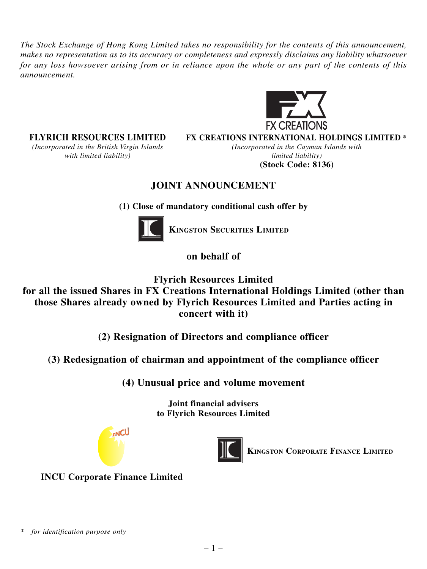*The Stock Exchange of Hong Kong Limited takes no responsibility for the contents of this announcement, makes no representation as to its accuracy or completeness and expressly disclaims any liability whatsoever for any loss howsoever arising from or in reliance upon the whole or any part of the contents of this announcement.*



*(Incorporated in the British Virgin Islands (Incorporated in the Cayman Islands with with limited liability*) and the set of the limited liability limited liability

**FLYRICH RESOURCES LIMITED FX CREATIONS INTERNATIONAL HOLDINGS LIMITED \***

**(Stock Code: 8136)**

# **JOINT ANNOUNCEMENT**

**(1) Close of mandatory conditional cash offer by**



**KINGSTON SECURITIES LIMITED**

**on behalf of**

**Flyrich Resources Limited**

**for all the issued Shares in FX Creations International Holdings Limited (other than those Shares already owned by Flyrich Resources Limited and Parties acting in concert with it)**

**(2) Resignation of Directors and compliance officer**

**(3) Redesignation of chairman and appointment of the compliance officer**

**(4) Unusual price and volume movement**

**Joint financial advisers to Flyrich Resources Limited**





**KINGSTON CORPORATE FINANCE LIMITED**

**INCU Corporate Finance Limited**

*<sup>\*</sup> for identification purpose only*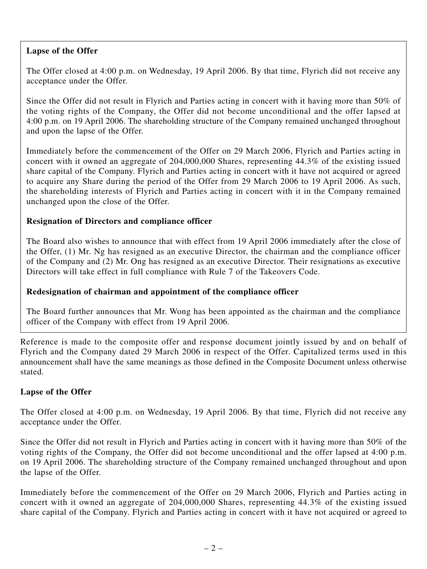## **Lapse of the Offer**

The Offer closed at 4:00 p.m. on Wednesday, 19 April 2006. By that time, Flyrich did not receive any acceptance under the Offer.

Since the Offer did not result in Flyrich and Parties acting in concert with it having more than 50% of the voting rights of the Company, the Offer did not become unconditional and the offer lapsed at 4:00 p.m. on 19 April 2006. The shareholding structure of the Company remained unchanged throughout and upon the lapse of the Offer.

Immediately before the commencement of the Offer on 29 March 2006, Flyrich and Parties acting in concert with it owned an aggregate of 204,000,000 Shares, representing 44.3% of the existing issued share capital of the Company. Flyrich and Parties acting in concert with it have not acquired or agreed to acquire any Share during the period of the Offer from 29 March 2006 to 19 April 2006. As such, the shareholding interests of Flyrich and Parties acting in concert with it in the Company remained unchanged upon the close of the Offer.

# **Resignation of Directors and compliance officer**

The Board also wishes to announce that with effect from 19 April 2006 immediately after the close of the Offer, (1) Mr. Ng has resigned as an executive Director, the chairman and the compliance officer of the Company and (2) Mr. Ong has resigned as an executive Director. Their resignations as executive Directors will take effect in full compliance with Rule 7 of the Takeovers Code.

## **Redesignation of chairman and appointment of the compliance officer**

The Board further announces that Mr. Wong has been appointed as the chairman and the compliance officer of the Company with effect from 19 April 2006.

Reference is made to the composite offer and response document jointly issued by and on behalf of Flyrich and the Company dated 29 March 2006 in respect of the Offer. Capitalized terms used in this announcement shall have the same meanings as those defined in the Composite Document unless otherwise stated.

## **Lapse of the Offer**

The Offer closed at 4:00 p.m. on Wednesday, 19 April 2006. By that time, Flyrich did not receive any acceptance under the Offer.

Since the Offer did not result in Flyrich and Parties acting in concert with it having more than 50% of the voting rights of the Company, the Offer did not become unconditional and the offer lapsed at 4:00 p.m. on 19 April 2006. The shareholding structure of the Company remained unchanged throughout and upon the lapse of the Offer.

Immediately before the commencement of the Offer on 29 March 2006, Flyrich and Parties acting in concert with it owned an aggregate of 204,000,000 Shares, representing 44.3% of the existing issued share capital of the Company. Flyrich and Parties acting in concert with it have not acquired or agreed to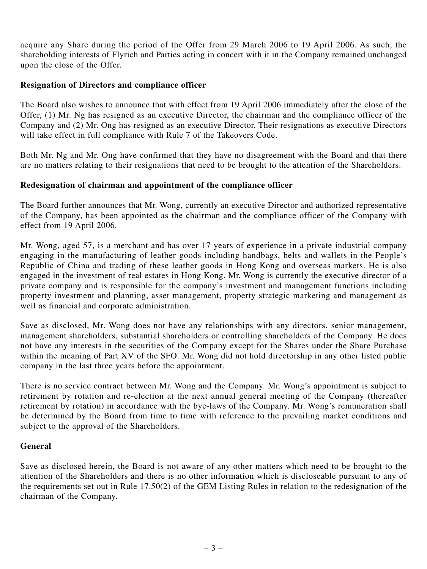acquire any Share during the period of the Offer from 29 March 2006 to 19 April 2006. As such, the shareholding interests of Flyrich and Parties acting in concert with it in the Company remained unchanged upon the close of the Offer.

## **Resignation of Directors and compliance officer**

The Board also wishes to announce that with effect from 19 April 2006 immediately after the close of the Offer, (1) Mr. Ng has resigned as an executive Director, the chairman and the compliance officer of the Company and (2) Mr. Ong has resigned as an executive Director. Their resignations as executive Directors will take effect in full compliance with Rule 7 of the Takeovers Code.

Both Mr. Ng and Mr. Ong have confirmed that they have no disagreement with the Board and that there are no matters relating to their resignations that need to be brought to the attention of the Shareholders.

#### **Redesignation of chairman and appointment of the compliance officer**

The Board further announces that Mr. Wong, currently an executive Director and authorized representative of the Company, has been appointed as the chairman and the compliance officer of the Company with effect from 19 April 2006.

Mr. Wong, aged 57, is a merchant and has over 17 years of experience in a private industrial company engaging in the manufacturing of leather goods including handbags, belts and wallets in the People's Republic of China and trading of these leather goods in Hong Kong and overseas markets. He is also engaged in the investment of real estates in Hong Kong. Mr. Wong is currently the executive director of a private company and is responsible for the company's investment and management functions including property investment and planning, asset management, property strategic marketing and management as well as financial and corporate administration.

Save as disclosed, Mr. Wong does not have any relationships with any directors, senior management, management shareholders, substantial shareholders or controlling shareholders of the Company. He does not have any interests in the securities of the Company except for the Shares under the Share Purchase within the meaning of Part XV of the SFO. Mr. Wong did not hold directorship in any other listed public company in the last three years before the appointment.

There is no service contract between Mr. Wong and the Company. Mr. Wong's appointment is subject to retirement by rotation and re-election at the next annual general meeting of the Company (thereafter retirement by rotation) in accordance with the bye-laws of the Company. Mr. Wong's remuneration shall be determined by the Board from time to time with reference to the prevailing market conditions and subject to the approval of the Shareholders.

## **General**

Save as disclosed herein, the Board is not aware of any other matters which need to be brought to the attention of the Shareholders and there is no other information which is discloseable pursuant to any of the requirements set out in Rule 17.50(2) of the GEM Listing Rules in relation to the redesignation of the chairman of the Company.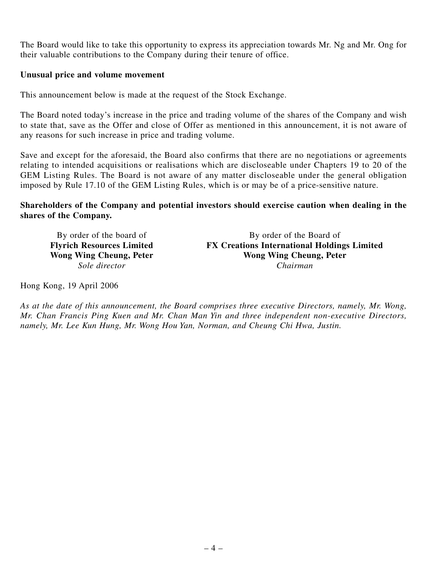The Board would like to take this opportunity to express its appreciation towards Mr. Ng and Mr. Ong for their valuable contributions to the Company during their tenure of office.

#### **Unusual price and volume movement**

This announcement below is made at the request of the Stock Exchange.

The Board noted today's increase in the price and trading volume of the shares of the Company and wish to state that, save as the Offer and close of Offer as mentioned in this announcement, it is not aware of any reasons for such increase in price and trading volume.

Save and except for the aforesaid, the Board also confirms that there are no negotiations or agreements relating to intended acquisitions or realisations which are discloseable under Chapters 19 to 20 of the GEM Listing Rules. The Board is not aware of any matter discloseable under the general obligation imposed by Rule 17.10 of the GEM Listing Rules, which is or may be of a price-sensitive nature.

## **Shareholders of the Company and potential investors should exercise caution when dealing in the shares of the Company.**

*Sole director* 

By order of the board of By order of the Board of **Flyrich Resources Limited FX Creations International Holdings Limited Wong Wing Cheung, Peter Wong Wing Cheung, Peter Wong Wing Cheung, Peter** 

Hong Kong, 19 April 2006

*As at the date of this announcement, the Board comprises three executive Directors, namely, Mr. Wong, Mr. Chan Francis Ping Kuen and Mr. Chan Man Yin and three independent non-executive Directors, namely, Mr. Lee Kun Hung, Mr. Wong Hou Yan, Norman, and Cheung Chi Hwa, Justin.*